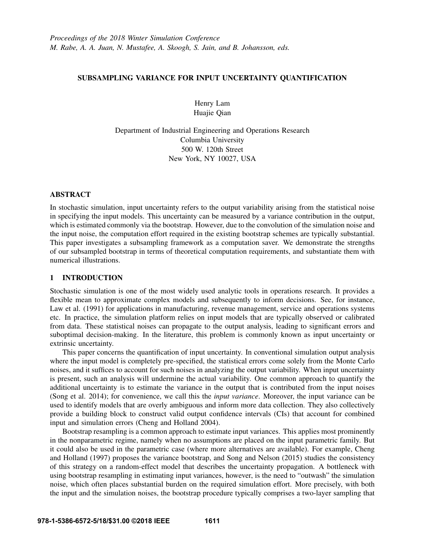# SUBSAMPLING VARIANCE FOR INPUT UNCERTAINTY QUANTIFICATION

Henry Lam Huajie Qian

Department of Industrial Engineering and Operations Research Columbia University 500 W. 120th Street New York, NY 10027, USA

# ABSTRACT

In stochastic simulation, input uncertainty refers to the output variability arising from the statistical noise in specifying the input models. This uncertainty can be measured by a variance contribution in the output, which is estimated commonly via the bootstrap. However, due to the convolution of the simulation noise and the input noise, the computation effort required in the existing bootstrap schemes are typically substantial. This paper investigates a subsampling framework as a computation saver. We demonstrate the strengths of our subsampled bootstrap in terms of theoretical computation requirements, and substantiate them with numerical illustrations.

# 1 INTRODUCTION

Stochastic simulation is one of the most widely used analytic tools in operations research. It provides a flexible mean to approximate complex models and subsequently to inform decisions. See, for instance, Law et al. (1991) for applications in manufacturing, revenue management, service and operations systems etc. In practice, the simulation platform relies on input models that are typically observed or calibrated from data. These statistical noises can propagate to the output analysis, leading to significant errors and suboptimal decision-making. In the literature, this problem is commonly known as input uncertainty or extrinsic uncertainty.

This paper concerns the quantification of input uncertainty. In conventional simulation output analysis where the input model is completely pre-specified, the statistical errors come solely from the Monte Carlo noises, and it suffices to account for such noises in analyzing the output variability. When input uncertainty is present, such an analysis will undermine the actual variability. One common approach to quantify the additional uncertainty is to estimate the variance in the output that is contributed from the input noises (Song et al. 2014); for convenience, we call this the *input variance*. Moreover, the input variance can be used to identify models that are overly ambiguous and inform more data collection. They also collectively provide a building block to construct valid output confidence intervals (CIs) that account for combined input and simulation errors (Cheng and Holland 2004).

Bootstrap resampling is a common approach to estimate input variances. This applies most prominently in the nonparametric regime, namely when no assumptions are placed on the input parametric family. But it could also be used in the parametric case (where more alternatives are available). For example, Cheng and Holland (1997) proposes the variance bootstrap, and Song and Nelson (2015) studies the consistency of this strategy on a random-effect model that describes the uncertainty propagation. A bottleneck with using bootstrap resampling in estimating input variances, however, is the need to "outwash" the simulation noise, which often places substantial burden on the required simulation effort. More precisely, with both the input and the simulation noises, the bootstrap procedure typically comprises a two-layer sampling that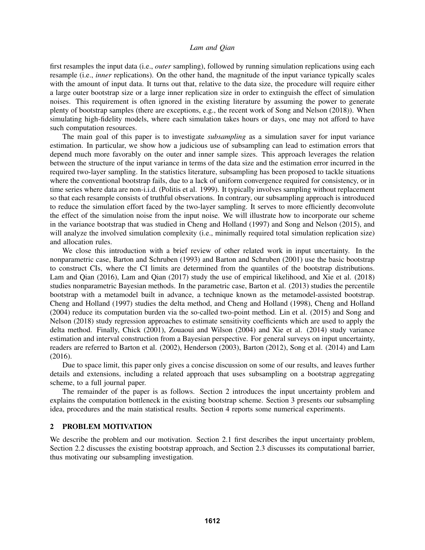first resamples the input data (i.e., *outer* sampling), followed by running simulation replications using each resample (i.e., *inner* replications). On the other hand, the magnitude of the input variance typically scales with the amount of input data. It turns out that, relative to the data size, the procedure will require either a large outer bootstrap size or a large inner replication size in order to extinguish the effect of simulation noises. This requirement is often ignored in the existing literature by assuming the power to generate plenty of bootstrap samples (there are exceptions, e.g., the recent work of Song and Nelson (2018)). When simulating high-fidelity models, where each simulation takes hours or days, one may not afford to have such computation resources.

The main goal of this paper is to investigate *subsampling* as a simulation saver for input variance estimation. In particular, we show how a judicious use of subsampling can lead to estimation errors that depend much more favorably on the outer and inner sample sizes. This approach leverages the relation between the structure of the input variance in terms of the data size and the estimation error incurred in the required two-layer sampling. In the statistics literature, subsampling has been proposed to tackle situations where the conventional bootstrap fails, due to a lack of uniform convergence required for consistency, or in time series where data are non-i.i.d. (Politis et al. 1999). It typically involves sampling without replacement so that each resample consists of truthful observations. In contrary, our subsampling approach is introduced to reduce the simulation effort faced by the two-layer sampling. It serves to more efficiently deconvolute the effect of the simulation noise from the input noise. We will illustrate how to incorporate our scheme in the variance bootstrap that was studied in Cheng and Holland (1997) and Song and Nelson (2015), and will analyze the involved simulation complexity (i.e., minimally required total simulation replication size) and allocation rules.

We close this introduction with a brief review of other related work in input uncertainty. In the nonparametric case, Barton and Schruben (1993) and Barton and Schruben (2001) use the basic bootstrap to construct CIs, where the CI limits are determined from the quantiles of the bootstrap distributions. Lam and Qian (2016), Lam and Qian (2017) study the use of empirical likelihood, and Xie et al. (2018) studies nonparametric Bayesian methods. In the parametric case, Barton et al. (2013) studies the percentile bootstrap with a metamodel built in advance, a technique known as the metamodel-assisted bootstrap. Cheng and Holland (1997) studies the delta method, and Cheng and Holland (1998), Cheng and Holland (2004) reduce its computation burden via the so-called two-point method. Lin et al. (2015) and Song and Nelson (2018) study regression approaches to estimate sensitivity coefficients which are used to apply the delta method. Finally, Chick (2001), Zouaoui and Wilson (2004) and Xie et al. (2014) study variance estimation and interval construction from a Bayesian perspective. For general surveys on input uncertainty, readers are referred to Barton et al. (2002), Henderson (2003), Barton (2012), Song et al. (2014) and Lam (2016).

Due to space limit, this paper only gives a concise discussion on some of our results, and leaves further details and extensions, including a related approach that uses subsampling on a bootstrap aggregating scheme, to a full journal paper.

The remainder of the paper is as follows. Section 2 introduces the input uncertainty problem and explains the computation bottleneck in the existing bootstrap scheme. Section 3 presents our subsampling idea, procedures and the main statistical results. Section 4 reports some numerical experiments.

## 2 PROBLEM MOTIVATION

We describe the problem and our motivation. Section 2.1 first describes the input uncertainty problem, Section 2.2 discusses the existing bootstrap approach, and Section 2.3 discusses its computational barrier, thus motivating our subsampling investigation.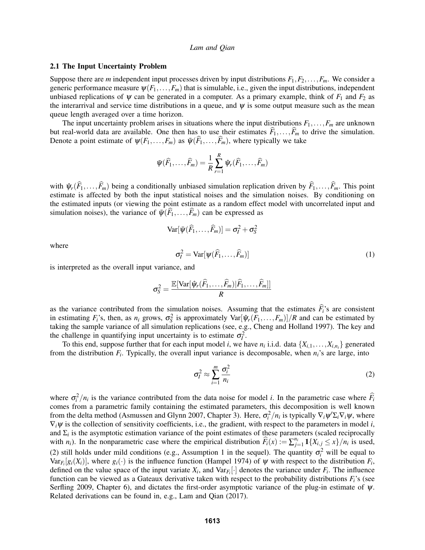#### 2.1 The Input Uncertainty Problem

Suppose there are *m* independent input processes driven by input distributions  $F_1, F_2, \ldots, F_m$ . We consider a generic performance measure  $\psi(F_1,\ldots,F_m)$  that is simulable, i.e., given the input distributions, independent unbiased replications of  $\psi$  can be generated in a computer. As a primary example, think of  $F_1$  and  $F_2$  as the interarrival and service time distributions in a queue, and  $\psi$  is some output measure such as the mean queue length averaged over a time horizon.

The input uncertainty problem arises in situations where the input distributions  $F_1, \ldots, F_m$  are unknown but real-world data are available. One then has to use their estimates  $\overline{F}_1, \ldots, \overline{F}_m$  to drive the simulation. Denote a point estimate of  $\psi(F_1,\ldots,F_m)$  as  $\bar{\psi}(F_1,\ldots,F_m)$ , where typically we take

$$
\bar{\psi}(\widehat{F}_1,\ldots,\widehat{F}_m)=\frac{1}{R}\sum_{r=1}^R\hat{\psi}_r(\widehat{F}_1,\ldots,\widehat{F}_m)
$$

with  $\hat{\psi}_r(\hat{F}_1,\ldots,\hat{F}_m)$  being a conditionally unbiased simulation replication driven by  $\hat{F}_1,\ldots,\hat{F}_m$ . This point estimate is affected by both the input statistical noises and the simulation noises. By condition the estimated inputs (or viewing the point estimate as a random effect model with uncorrelated input and simulation noises), the variance of  $\bar{\psi}(\widehat{F}_1,\ldots,\widehat{F}_m)$  can be expressed as

$$
\text{Var}[\bar{\psi}(\widehat{F}_1,\ldots,\widehat{F}_m)] = \sigma_I^2 + \sigma_S^2
$$

where

$$
\sigma_l^2 = \text{Var}[\psi(\widehat{F}_1, \dots, \widehat{F}_m)] \tag{1}
$$

is interpreted as the overall input variance, and

$$
\sigma_S^2 = \frac{\mathbb{E}[\text{Var}[\hat{\boldsymbol{\psi}}_r(\widehat{F}_1, \ldots, \widehat{F}_m)|\widehat{F}_1, \ldots, \widehat{F}_m]]}{R}
$$

as the variance contributed from the simulation noises. Assuming that the estimates  $\hat{F}_i$ 's are consistent in estimating  $F_i$ 's, then, as  $n_i$  grows,  $\sigma_S^2$  is approximately  $Var[\hat{\psi}_r(F_1,\ldots,F_m)]/R$  and can be estimated by taking the sample variance of all simulation replications (see, e.g., Cheng and Holland 1997). The key and the challenge in quantifying input uncertainty is to estimate  $\sigma_l^2$ .

To this end, suppose further that for each input model *i*, we have  $n_i$  i.i.d. data  $\{X_{i,1},...,X_{i,n_i}\}$  generated from the distribution  $F_i$ . Typically, the overall input variance is decomposable, when  $n_i$ 's are large, into

$$
\sigma_I^2 \approx \sum_{i=1}^m \frac{\sigma_i^2}{n_i} \tag{2}
$$

where  $\sigma_i^2/n_i$  is the variance contributed from the data noise for model *i*. In the parametric case where  $\widehat{F}_i$ comes from a parametric family containing the estimated parameters, this decomposition is well known from the delta method (Asmussen and Glynn 2007, Chapter 3). Here,  $\sigma_i^2/n_i$  is typically  $\nabla_i \psi' \Sigma_i \nabla_i \psi$ , where  $\nabla_i \psi$  is the collection of sensitivity coefficients, i.e., the gradient, with respect to the parameters in model *i*, and  $\Sigma_i$  is the asymptotic estimation variance of the point estimates of these parameters (scaled reciprocally with *n<sub>i</sub>*). In the nonparametric case where the empirical distribution  $\widehat{F}_i(x) := \sum_{j=1}^{n_i} \mathbf{1}\{X_{i,j} \leq x\}/n_i$  is used, (2) still holds under mild conditions (e.g., Assumption 1 in the sequel). The quantity  $\sigma_i^2$  will be equal to  $Var_{F_i}[g_i(X_i)]$ , where  $g_i(\cdot)$  is the influence function (Hampel 1974) of  $\psi$  with respect to the distribution  $F_i$ , defined on the value space of the input variate  $X_i$ , and  $Var_{F_i}[\cdot]$  denotes the variance under  $F_i$ . The influence function can be viewed as a Gateaux derivative taken with respect to the probability distributions *Fi*'s (see Serfling 2009, Chapter 6), and dictates the first-order asymptotic variance of the plug-in estimate of  $\psi$ . Related derivations can be found in, e.g., Lam and Qian (2017).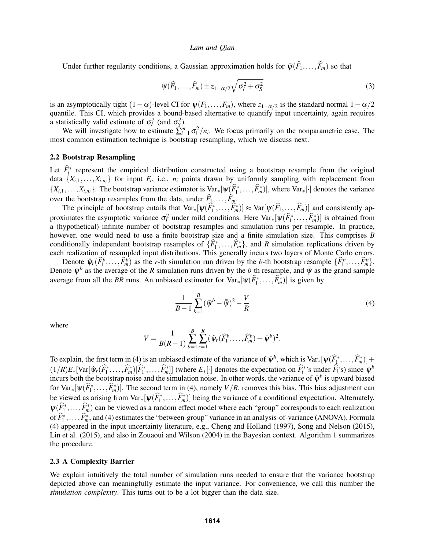Under further regularity conditions, a Gaussian approximation holds for  $\Psi(\widehat{F}_1,\ldots,\widehat{F}_m)$  so that

$$
\bar{\psi}(\widehat{F}_1,\ldots,\widehat{F}_m) \pm z_{1-\alpha/2}\sqrt{\sigma_l^2 + \sigma_S^2}
$$
\n(3)

is an asymptotically tight  $(1 - \alpha)$ -level CI for  $\psi(F_1, \ldots, F_m)$ , where  $z_{1-\alpha/2}$  is the standard normal  $1-\alpha/2$ quantile. This CI, which provides a bound-based alternative to quantify input uncertainty, again requires a statistically valid estimate of  $\sigma_l^2$  (and  $\sigma_s^2$ ).

We will investigate how to estimate  $\sum_{i=1}^{m} \sigma_i^2/n_i$ . We focus primarily on the nonparametric case. The most common estimation technique is bootstrap resampling, which we discuss next.

#### 2.2 Bootstrap Resampling

Let  $\hat{F}_i^*$  represent the empirical distribution constructed using a bootstrap resample from the original data  $\{X_{i,1},...,X_{i,n_i}\}$  for input  $F_i$ , i.e.,  $n_i$  points drawn by uniformly sampling with replacement from  $\{X_{i,1},\ldots,X_{i,n_i}\}$ . The bootstrap variance estimator is  $\text{Var}_*[\psi(\widehat{F}_1^*,\ldots,\widehat{F}_m^*)]$ , where  $\text{Var}_*[\cdot]$  denotes the variance over the bootstrap resamples from the data, under  $F_1, \ldots, F_m$ .

The principle of bootstrap entails that  $Var_*[\psi(\widehat{F}_1^*, \ldots, \widehat{F}_m^*)] \approx Var[\psi(\widehat{F}_1, \ldots, \widehat{F}_m)]$  and consistently approximates the asymptotic variance  $\sigma_l^2$  under mild conditions. Here Var<sub>∗</sub>[ $\psi(\widehat{F}_1^*, \dots, \widehat{F}_m^*)$ ] is obtained from a (hypothetical) infinite number of bootstrap resamples and simulation runs per resample. In practice, however, one would need to use a finite bootstrap size and a finite simulation size. This comprises *B* conditionally independent bootstrap resamples of  $\{\widehat{F}_1^*, \ldots, \widehat{F}_m^*\}$ , and *R* simulation replications driven by each realization of resampled input distributions. This generally incurs two layers of Monte Carlo errors.

Denote  $\hat{\psi}_r(\widehat{F}_1^b,\ldots,\widehat{F}_m^b)$  as the *r*-th simulation run driven by the *b*-th bootstrap resample  $\{\widehat{F}_1^b,\ldots,\widehat{F}_m^b\}$ . Denote  $\bar{\psi}^b$  as the average of the *R* simulation runs driven by the *b*-th resample, and  $\bar{\bar{\psi}}$  as the grand sample average from all the *BR* runs. An unbiased estimator for  $Var_*[\psi(\widehat{F}_1^*,...,\widehat{F}_m^*)]$  is given by

$$
\frac{1}{B-1} \sum_{b=1}^{B} (\bar{\psi}^b - \bar{\bar{\psi}})^2 - \frac{V}{R}
$$
 (4)

where

$$
V = \frac{1}{B(R-1)} \sum_{b=1}^{B} \sum_{r=1}^{R} (\hat{\psi}_r(\widehat{F}_1^b, \dots, \widehat{F}_m^b) - \bar{\psi}^b)^2.
$$

To explain, the first term in (4) is an unbiased estimate of the variance of  $\bar{\psi}^b$ , which is Var<sub>∗</sub>[ $\psi(\widehat{F}_1^*,...,\widehat{F}_m^*)$ ] +  $(1/R)E_*[\text{Var}[\hat{\psi}_r(\widehat{F}_1^*,...,\widehat{F}_m^*] | \widehat{F}_1^*,...,\widehat{F}_m^*]]$  (where  $E_*[\cdot]$  denotes the expectation on  $\widehat{F}_i^*$ 's under  $\widehat{F}_i$ 's) since  $\bar{\psi}^b$ incurs both the bootstrap noise and the simulation noise. In other words, the variance of  $\bar{\psi}^b$  is upward biased for  $\text{Var}_*[\psi(\widehat{F}_1^*, \ldots, \widehat{F}_m^*)]$ . The second term in (4), namely  $V/R$ , removes this bias. This bias adjustment can be viewed as arising from  $\text{Var}_*[\psi(\widehat{F}_1^*, \dots, \widehat{F}_m^*)]$  being the variance of a conditional expectation. Alternately,  $\psi(\widehat{F}_1^*, \ldots, \widehat{F}_m^*)$  can be viewed as a random effect model where each "group" corresponds to each realization of  $\widehat{F}_{1}^{*}, \ldots, \widehat{F}_{m}^{*}$ , and (4) estimates the "between-group" variance in an analysis-of-variance (ANOVA). Formula<br>(4)  $\widehat{F}_{1}^{*}, \ldots, \widehat{F}_{m}^{*}$ , and (4) estimates the "between-group" variance in an analysis-o (4) appeared in the input uncertainty literature, e.g., Cheng and Holland (1997), Song and Nelson (2015), Lin et al. (2015), and also in Zouaoui and Wilson (2004) in the Bayesian context. Algorithm 1 summarizes the procedure.

#### 2.3 A Complexity Barrier

We explain intuitively the total number of simulation runs needed to ensure that the variance bootstrap depicted above can meaningfully estimate the input variance. For convenience, we call this number the *simulation complexity*. This turns out to be a lot bigger than the data size.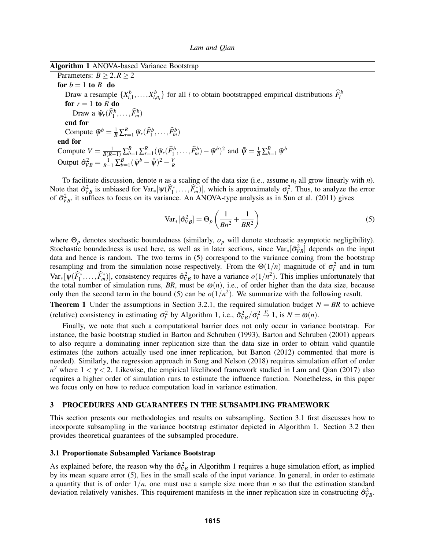| Algorithm 1 ANOVA-based Variance Bootstrap |  |  |
|--------------------------------------------|--|--|
|--------------------------------------------|--|--|

Parameters:  $B \ge 2, R \ge 2$ for  $b = 1$  to  $B$  do Draw a resample  $\{X_{i,1}^b, \ldots, X_{i,n_i}^b\}$  for all *i* to obtain bootstrapped empirical distributions  $\widehat{F}_i^b$ for  $r = 1$  to  $R$  do Draw a  $\hat{\psi}_r(\widehat{F}_1^b,\ldots,\widehat{F}_m^b)$ end for Compute  $\bar{\psi}^b = \frac{1}{R} \sum_{r=1}^R \hat{\psi}_r(\hat{F}_1^b, \dots, \hat{F}_m^b)$ end for Compute  $V = \frac{1}{B(R-1)} \sum_{b=1}^{B} \sum_{r=1}^{R} (\hat{\psi}_r(\hat{F}_1^b, \dots, \hat{F}_m^b) - \bar{\psi}^b)^2$  and  $\bar{\psi} = \frac{1}{B} \sum_{b=1}^{B} \bar{\psi}^b$ Output  $\hat{\sigma}_{VB}^2 = \frac{1}{B-1}\sum_{b=1}^B (\bar{\psi}^b - \bar{\bar{\psi}})^2 - \frac{V}{R}$ *R*

To facilitate discussion, denote *n* as a scaling of the data size (i.e., assume *n<sup>i</sup>* all grow linearly with *n*). Note that  $\hat{\sigma}_{VB}^2$  is unbiased for  $Var_*[\psi(\widehat{F}_1^*,...,\widehat{F}_m^*)]$ , which is approximately  $\sigma_f^2$ . Thus, to analyze the error of  $\hat{\sigma}_{VB}^2$ , it suffices to focus on its variance. An ANOVA-type analysis as in Sun et al. (2011) gives

$$
\text{Var}_*[\hat{\sigma}_{VB}^2] = \Theta_p \left( \frac{1}{Bn^2} + \frac{1}{BR^2} \right) \tag{5}
$$

where Θ*<sup>p</sup>* denotes stochastic boundedness (similarly, *o<sup>p</sup>* will denote stochastic asymptotic negligibility). Stochastic boundedness is used here, as well as in later sections, since  $Var_*[\hat{\sigma}_{VB}^2]$  depends on the input data and hence is random. The two terms in (5) correspond to the variance coming from the bootstrap resampling and from the simulation noise respectively. From the  $\Theta(1/n)$  magnitude of  $\sigma_l^2$  and in turn  $Var_*[\psi(\widehat{F}_1^*, \ldots, \widehat{F}_m^*)]$ , consistency requires  $\widehat{\sigma}_{VB}^2$  to have a variance  $o(1/n^2)$ . This implies unfortunately that the total number of simulation runs, *BR*, must be  $\omega(n)$ , i.e., of order higher than the data size, because only then the second term in the bound (5) can be  $o(1/n^2)$ . We summarize with the following result.

**Theorem 1** Under the assumptions in Section 3.2.1, the required simulation budget  $N = BR$  to achieve (relative) consistency in estimating  $\sigma_l^2$  by Algorithm 1, i.e.,  $\hat{\sigma}_{VB}^2/\sigma_l^2 \overset{p}{\rightarrow} 1$ , is  $N = \omega(n)$ .

Finally, we note that such a computational barrier does not only occur in variance bootstrap. For instance, the basic bootstrap studied in Barton and Schruben (1993), Barton and Schruben (2001) appears to also require a dominating inner replication size than the data size in order to obtain valid quantile estimates (the authors actually used one inner replication, but Barton (2012) commented that more is needed). Similarly, the regression approach in Song and Nelson (2018) requires simulation effort of order *n*<sup>γ</sup> where  $1 < \gamma < 2$ . Likewise, the empirical likelihood framework studied in Lam and Qian (2017) also requires a higher order of simulation runs to estimate the influence function. Nonetheless, in this paper we focus only on how to reduce computation load in variance estimation.

### 3 PROCEDURES AND GUARANTEES IN THE SUBSAMPLING FRAMEWORK

This section presents our methodologies and results on subsampling. Section 3.1 first discusses how to incorporate subsampling in the variance bootstrap estimator depicted in Algorithm 1. Section 3.2 then provides theoretical guarantees of the subsampled procedure.

## 3.1 Proportionate Subsampled Variance Bootstrap

As explained before, the reason why the  $\hat{\sigma}_{VB}^2$  in Algorithm 1 requires a huge simulation effort, as implied by its mean square error (5), lies in the small scale of the input variance. In general, in order to estimate a quantity that is of order 1/*n*, one must use a sample size more than *n* so that the estimation standard deviation relatively vanishes. This requirement manifests in the inner replication size in constructing  $\hat{\sigma}_{VB}^2$ .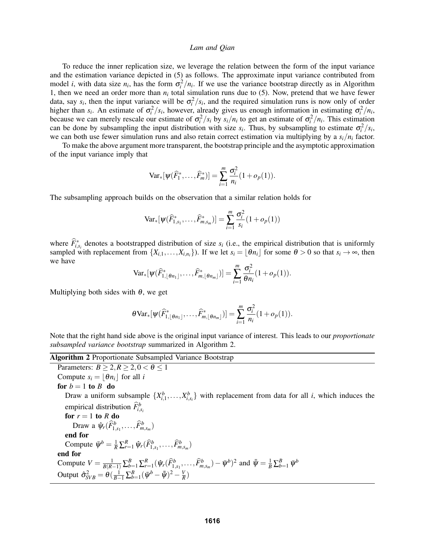To reduce the inner replication size, we leverage the relation between the form of the input variance and the estimation variance depicted in (5) as follows. The approximate input variance contributed from model *i*, with data size  $n_i$ , has the form  $\sigma_i^2/n_i$ . If we use the variance bootstrap directly as in Algorithm 1, then we need an order more than  $n_i$  total simulation runs due to (5). Now, pretend that we have fewer data, say  $s_i$ , then the input variance will be  $\sigma_i^2/s_i$ , and the required simulation runs is now only of order higher than *s<sub>i</sub>*. An estimate of  $\sigma_i^2/s_i$ , however, already gives us enough information in estimating  $\sigma_i^2/n_i$ , because we can merely rescale our estimate of  $\sigma_i^2/s_i$  by  $s_i/n_i$  to get an estimate of  $\sigma_i^2/n_i$ . This estimation can be done by subsampling the input distribution with size  $s_i$ . Thus, by subsampling to estimate  $\sigma_i^2/s_i$ , we can both use fewer simulation runs and also retain correct estimation via multiplying by a  $s_i/n_i$  factor.

To make the above argument more transparent, the bootstrap principle and the asymptotic approximation of the input variance imply that

$$
\text{Var}_{*}[\psi(\widehat{F}_{1}^{*},\ldots,\widehat{F}_{m}^{*})] = \sum_{i=1}^{m} \frac{\sigma_{i}^{2}}{n_{i}}(1+o_{p}(1)).
$$

The subsampling approach builds on the observation that a similar relation holds for

$$
\text{Var}_{*}[\psi(\widehat{F}_{1,s_1}^*,\ldots,\widehat{F}_{m,s_m}^*)] = \sum_{i=1}^m \frac{\sigma_i^2}{s_i} (1 + o_p(1))
$$

where  $\widehat{F}_{i,s_i}^*$  denotes a bootstrapped distribution of size  $s_i$  (i.e., the empirical distribution that is uniformly sampled with replacement from  $\{X_{i,1},...,X_{i,n_i}\}$ . If we let  $s_i = \lfloor \theta n_i \rfloor$  for some  $\theta > 0$  so that  $s_i \to \infty$ , then we have

$$
\text{Var}_{*}[\psi(\widehat{F}_{1,\lfloor \theta n_1 \rfloor}^*,\ldots,\widehat{F}_{m,\lfloor \theta n_m \rfloor}^*)]=\sum_{i=1}^m\frac{\sigma_i^2}{\theta n_i}(1+o_p(1)).
$$

Multiplying both sides with  $\theta$ , we get

$$
\theta \text{Var}_*[\psi(\widehat{F}_{1,\lfloor \theta n_1 \rfloor}^*,\ldots,\widehat{F}_{m,\lfloor \theta n_m \rfloor}^*)] = \sum_{i=1}^m \frac{\sigma_i^2}{n_i} (1+o_p(1)).
$$

Note that the right hand side above is the original input variance of interest. This leads to our *proportionate subsampled variance bootstrap* summarized in Algorithm 2.

Algorithm 2 Proportionate Subsampled Variance Bootstrap Parameters:  $B > 2, R > 2, 0 < \theta < 1$ Compute  $s_i = |\theta n_i|$  for all *i* for  $b = 1$  to  $B$  do Draw a uniform subsample  $\{X_{i,1}^b, \ldots, X_{i,s_i}^b\}$  with replacement from data for all *i*, which induces the empirical distribution  $\widehat{F}_{i,s_i}^b$ for  $r = 1$  to  $R$  do Draw a  $\hat{\psi}_r(\widehat{F}_{1,s_1}^b,\ldots,\widehat{F}_{m,s_m}^b)$ end for Compute  $\bar{\psi}^b = \frac{1}{R} \sum_{r=1}^R \hat{\psi}_r(\hat{F}_{1,s_1}^b, \dots, \hat{F}_{m,s_m}^b)$ end for Compute  $V = \frac{1}{B(R-1)} \sum_{b=1}^{B} \sum_{r=1}^{R} (\hat{\psi}_r(\hat{F}_{1,s_1}^b, \dots, \hat{F}_{m,s_m}^b) - \bar{\psi}^b)^2$  and  $\bar{\bar{\psi}} = \frac{1}{B} \sum_{b=1}^{B} \bar{\psi}^b$ Output  $\hat{\sigma}_{SVB}^2 = \theta(\frac{1}{B-1}\sum_{b=1}^B(\bar{\psi}^b - \bar{\bar{\psi}})^2 - \frac{V}{R}$  $\frac{V}{R}$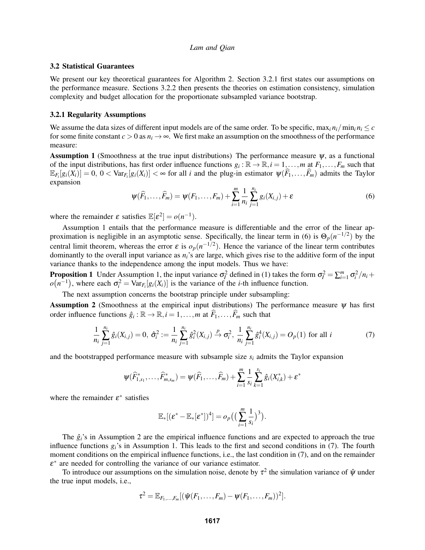### 3.2 Statistical Guarantees

We present our key theoretical guarantees for Algorithm 2. Section 3.2.1 first states our assumptions on the performance measure. Sections 3.2.2 then presents the theories on estimation consistency, simulation complexity and budget allocation for the proportionate subsampled variance bootstrap.

## 3.2.1 Regularity Assumptions

We assume the data sizes of different input models are of the same order. To be specific,  $\max_i n_i / \min_i n_i \leq c$ for some finite constant  $c > 0$  as  $n_i \to \infty$ . We first make an assumption on the smoothness of the performance measure:

**Assumption 1** (Smoothness at the true input distributions) The performance measure  $\psi$ , as a functional of the input distributions, has first order influence functions  $g_i : \mathbb{R} \to \mathbb{R}, i = 1, \ldots, m$  at  $F_1, \ldots, F_m$  such that  $\mathbb{E}_{F_i}[g_i(X_i)] = 0, 0 < \text{Var}_{F_i}[g_i(X_i)] < \infty$  for all *i* and the plug-in estimator  $\psi(\widehat{F}_1,\ldots,\widehat{F}_m)$  admits the Taylor expansion

$$
\psi(\widehat{F}_1, \dots, \widehat{F}_m) = \psi(F_1, \dots, F_m) + \sum_{i=1}^m \frac{1}{n_i} \sum_{j=1}^{n_i} g_i(X_{i,j}) + \varepsilon
$$
\n(6)

where the remainder  $\varepsilon$  satisfies  $\mathbb{E}[\varepsilon^2] = o(n^{-1})$ .

Assumption 1 entails that the performance measure is differentiable and the error of the linear approximation is negligible in an asymptotic sense. Specifically, the linear term in (6) is  $\Theta_p(n^{-1/2})$  by the central limit theorem, whereas the error  $\varepsilon$  is  $o_p(n^{-1/2})$ . Hence the variance of the linear term contributes dominantly to the overall input variance as *ni*'s are large, which gives rise to the additive form of the input variance thanks to the independence among the input models. Thus we have:

**Proposition 1** Under Assumption 1, the input variance  $\sigma_l^2$  defined in (1) takes the form  $\sigma_l^2 = \sum_{i=1}^m \sigma_i^2/n_i +$  $o(n^{-1})$ , where each  $\sigma_i^2 = \text{Var}_{F_i}[g_i(X_i)]$  is the variance of the *i*-th influence function.

The next assumption concerns the bootstrap principle under subsampling:

Assumption 2 (Smoothness at the empirical input distributions) The performance measure  $\psi$  has first order influence functions  $\hat{g}_i : \mathbb{R} \to \mathbb{R}, i = 1, ..., m$  at  $\widehat{F}_1, ..., \widehat{F}_m$  such that

$$
\frac{1}{n_i} \sum_{j=1}^{n_i} \hat{g}_i(X_{i,j}) = 0, \ \hat{\sigma}_i^2 := \frac{1}{n_i} \sum_{j=1}^{n_i} \hat{g}_i^2(X_{i,j}) \xrightarrow{p} \sigma_i^2, \ \frac{1}{n_i} \sum_{j=1}^{n_i} \hat{g}_i^4(X_{i,j}) = O_p(1) \text{ for all } i
$$
 (7)

and the bootstrapped performance measure with subsample size  $s_i$  admits the Taylor expansion

$$
\psi(\widehat{F}_{1,s_1}^*,\ldots,\widehat{F}_{m,s_m}^*) = \psi(\widehat{F}_1,\ldots,\widehat{F}_m) + \sum_{i=1}^m \frac{1}{s_i} \sum_{k=1}^{s_i} \hat{g}_i(X_{i,k}^*) + \varepsilon^*
$$

where the remainder  $\varepsilon^*$  satisfies

$$
\mathbb{E}_*[(\varepsilon^* - \mathbb{E}_*[\varepsilon^*])^4] = o_p\big(\big(\sum_{i=1}^m \frac{1}{s_i}\big)^3\big).
$$

The  $\hat{g}_i$ 's in Assumption 2 are the empirical influence functions and are expected to approach the true influence functions *gi*'s in Assumption 1. This leads to the first and second conditions in (7). The fourth moment conditions on the empirical influence functions, i.e., the last condition in (7), and on the remainder  $\varepsilon^*$  are needed for controlling the variance of our variance estimator.

To introduce our assumptions on the simulation noise, denote by  $\tau^2$  the simulation variance of  $\hat{\psi}$  under the true input models, i.e.,

$$
\tau^{2} = \mathbb{E}_{F_{1},...,F_{m}}[(\hat{\psi}(F_{1},...,F_{m}) - \psi(F_{1},...,F_{m}))^{2}].
$$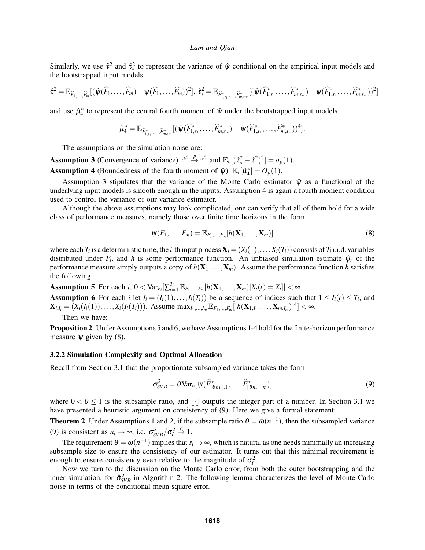Similarly, we use  $\hat{\tau}^2$  and  $\hat{\tau}^2_*$  to represent the variance of  $\hat{\psi}$  conditional on the empirical input models and the bootstrapped input models

$$
\hat{\tau}^2 = \mathbb{E}_{\widehat{F}_1,\ldots,\widehat{F}_m} [(\hat{\psi}(\widehat{F}_1,\ldots,\widehat{F}_m) - \psi(\widehat{F}_1,\ldots,\widehat{F}_m))^2], \ \hat{\tau}^2_* = \mathbb{E}_{\widehat{F}_{1,s_1}^*,\ldots,\widehat{F}_{m,s_m}^*} [(\hat{\psi}(\widehat{F}_{1,s_1}^*,\ldots,\widehat{F}_{m,s_m}^*) - \psi(\widehat{F}_{1,s_1}^*,\ldots,\widehat{F}_{m,s_m}^*) )^2]
$$

and use  $\hat{\mu}_4^*$  to represent the central fourth moment of  $\hat{\psi}$  under the bootstrapped input models

$$
\hat{\mu}_4^* = \mathbb{E}_{\widehat{F}_{1,s_1}^*, \dots, \widehat{F}_{m,s_m}^*} [(\hat{\psi}(\widehat{F}_{1,s_1}^*, \dots, \widehat{F}_{m,s_m}^*) - \psi(\widehat{F}_{1,s_1}^*, \dots, \widehat{F}_{m,s_m}^*) )^4].
$$

The assumptions on the simulation noise are:

**Assumption 3** (Convergence of variance)  $\hat{\tau}^2 \stackrel{p}{\to} \tau^2$  and  $\mathbb{E}_*[(\hat{\tau}_*^2 - \hat{\tau}^2)^2] = o_p(1)$ . **Assumption 4** (Boundedness of the fourth moment of  $\hat{\psi}$ )  $\mathbb{E}_*[\hat{\mu}_4^*] = O_p(1)$ .

Assumption 3 stipulates that the variance of the Monte Carlo estimator  $\hat{\psi}$  as a functional of the underlying input models is smooth enough in the inputs. Assumption 4 is again a fourth moment condition used to control the variance of our variance estimator.

Although the above assumptions may look complicated, one can verify that all of them hold for a wide class of performance measures, namely those over finite time horizons in the form

$$
\psi(F_1,\ldots,F_m)=\mathbb{E}_{F_1,\ldots,F_m}[h(\mathbf{X}_1,\ldots,\mathbf{X}_m)]
$$
\n(8)

where each  $T_i$  is a deterministic time, the *i*-th input process  $\mathbf{X}_i = (X_i(1), \ldots, X_i(T_i))$  consists of  $T_i$  i.i.d. variables distributed under  $F_i$ , and  $h$  is some performance function. An unbiased simulation estimate  $\hat{\psi}_r$  of the performance measure simply outputs a copy of  $h(\mathbf{X}_1,\ldots,\mathbf{X}_m)$ . Assume the performance function *h* satisfies the following:

Assumption 5 For each *i*,  $0 < \text{Var}_{F_i}[\sum_{t=1}^{T_i} \mathbb{E}_{F_1,...,F_m}[h(\mathbf{X}_1,...,\mathbf{X}_m)|X_i(t) = X_i]] < \infty$ . Assumption 6 For each *i* let  $I_i = (I_i(1),...,I_i(T_i))$  be a sequence of indices such that  $1 \leq I_i(t) \leq T_i$ , and  $\mathbf{X}_{i,I_i} = (X_i(I_i(1)), \dots, X_i(I_i(T_i)))$ . Assume  $\max_{I_1, \dots, I_m} \mathbb{E}_{F_1, \dots, F_m} [ |h(\mathbf{X}_{1,I_1}, \dots, \mathbf{X}_{m,I_m})|^4] < \infty$ .

Then we have:

Proposition 2 Under Assumptions 5 and 6, we have Assumptions 1-4 hold for the finite-horizon performance measure  $\psi$  given by (8).

### 3.2.2 Simulation Complexity and Optimal Allocation

Recall from Section 3.1 that the proportionate subsampled variance takes the form

$$
\sigma_{SVB}^2 = \theta \text{Var}_*[\psi(\widehat{F}_{\lfloor \theta n_1 \rfloor,1}^*, \dots, \widehat{F}_{\lfloor \theta n_m \rfloor,m}^*)]
$$
(9)

where  $0 < \theta \le 1$  is the subsample ratio, and  $|\cdot|$  outputs the integer part of a number. In Section 3.1 we have presented a heuristic argument on consistency of (9). Here we give a formal statement:

**Theorem 2** Under Assumptions 1 and 2, if the subsample ratio  $\theta = \omega(n^{-1})$ , then the subsampled variance (9) is consistent as  $n_i \rightarrow \infty$ , i.e.  $\sigma_{SVB}^2/\sigma_I^2 \stackrel{p}{\rightarrow} 1$ .

The requirement  $\theta = \omega(n^{-1})$  implies that  $s_i \to \infty$ , which is natural as one needs minimally an increasing subsample size to ensure the consistency of our estimator. It turns out that this minimal requirement is enough to ensure consistency even relative to the magnitude of  $\sigma_l^2$ .

Now we turn to the discussion on the Monte Carlo error, from both the outer bootstrapping and the inner simulation, for  $\hat{\sigma}_{SVB}^2$  in Algorithm 2. The following lemma characterizes the level of Monte Carlo noise in terms of the conditional mean square error.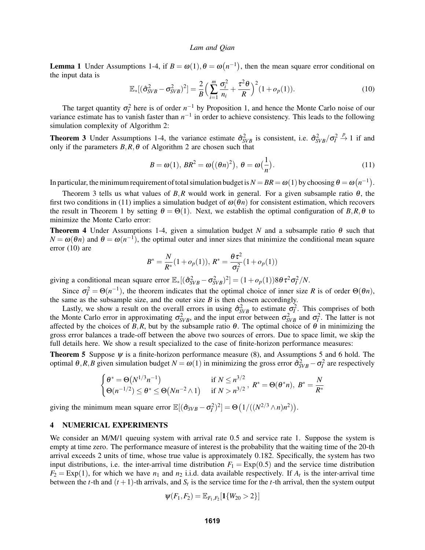**Lemma 1** Under Assumptions 1-4, if  $B = \omega(1), \theta = \omega(n^{-1})$ , then the mean square error conditional on the input data is

$$
\mathbb{E}_*[(\hat{\sigma}_{SVB}^2 - \sigma_{SVB}^2)^2] = \frac{2}{B} \Big( \sum_{i=1}^m \frac{\sigma_i^2}{n_i} + \frac{\tau^2 \theta}{R} \Big)^2 (1 + o_p(1)). \tag{10}
$$

The target quantity  $\sigma_l^2$  here is of order  $n^{-1}$  by Proposition 1, and hence the Monte Carlo noise of our variance estimate has to vanish faster than  $n^{-1}$  in order to achieve consistency. This leads to the following simulation complexity of Algorithm 2:

**Theorem 3** Under Assumptions 1-4, the variance estimate  $\hat{\sigma}_{SVB}^2$  is consistent, i.e.  $\hat{\sigma}_{SVB}^2/\hat{\sigma}_I^2 \overset{p}{\to} 1$  if and only if the parameters  $B$ ,  $R$ ,  $\theta$  of Algorithm 2 are chosen such that

$$
B = \omega(1), BR^2 = \omega((\theta n)^2), \ \theta = \omega(\frac{1}{n}).
$$
\n(11)

In particular, the minimum requirement of total simulation budget is  $N = BR = \omega(1)$  by choosing  $\theta = \omega(n^{-1})$ .

Theorem 3 tells us what values of  $B$ ,  $R$  would work in general. For a given subsample ratio  $\theta$ , the first two conditions in (11) implies a simulation budget of  $\omega(\theta n)$  for consistent estimation, which recovers the result in Theorem 1 by setting  $\theta = \Theta(1)$ . Next, we establish the optimal configuration of *B*,*R*,  $\theta$  to minimize the Monte Carlo error:

Theorem 4 Under Assumptions 1-4, given a simulation budget *N* and a subsample ratio θ such that  $N = \omega(\theta n)$  and  $\theta = \omega(n^{-1})$ , the optimal outer and inner sizes that minimize the conditional mean square error (10) are

$$
B^* = \frac{N}{R^*} (1 + o_p(1)), R^* = \frac{\theta \tau^2}{\sigma_I^2} (1 + o_p(1))
$$

giving a conditional mean square error  $\mathbb{E}_*[(\hat{\sigma}_{SVB}^2 - \sigma_{SVB}^2)^2] = (1 + o_p(1))8\theta \tau^2 \sigma_I^2/N$ .

Since  $\sigma_l^2 = \Theta(n^{-1})$ , the theorem indicates that the optimal choice of inner size *R* is of order  $\Theta(\theta n)$ , the same as the subsample size, and the outer size  $B$  is then chosen accordingly.

Lastly, we show a result on the overall errors in using  $\hat{\sigma}_{SVB}^2$  to estimate  $\sigma_f^2$ . This comprises of both the Monte Carlo error in approximating  $\sigma_{SVB}^2$ , and the input error between  $\sigma_{SVB}^2$  and  $\sigma_I^2$ . The latter is not affected by the choices of  $B$ , $R$ , but by the subsample ratio  $\theta$ . The optimal choice of  $\theta$  in minimizing the gross error balances a trade-off between the above two sources of errors. Due to space limit, we skip the full details here. We show a result specialized to the case of finite-horizon performance measures:

**Theorem 5** Suppose  $\psi$  is a finite-horizon performance measure (8), and Assumptions 5 and 6 hold. The optimal  $\theta$ ,*R*,*B* given simulation budget  $N = \omega(1)$  in minimizing the gross error  $\hat{\sigma}_{SVB}^2 - \sigma_I^2$  are respectively

$$
\begin{cases} \theta^* = \Theta(N^{1/3}n^{-1}) & \text{if } N \le n^{3/2} \\ \Theta(n^{-1/2}) \le \theta^* \le \Theta(Nn^{-2} \wedge 1) & \text{if } N > n^{3/2} \end{cases}, R^* = \Theta(\theta^*n), B^* = \frac{N}{R^*}
$$

giving the minimum mean square error  $\mathbb{E}[(\hat{\sigma}_{SVB} - \sigma_I^2)^2] = \Theta(1/((N^{2/3} \wedge n)n^2)).$ 

## 4 NUMERICAL EXPERIMENTS

We consider an M/M/1 queuing system with arrival rate 0.5 and service rate 1. Suppose the system is empty at time zero. The performance measure of interest is the probability that the waiting time of the 20-th arrival exceeds 2 units of time, whose true value is approximately 0.182. Specifically, the system has two input distributions, i.e. the inter-arrival time distribution  $F_1 = \text{Exp}(0.5)$  and the service time distribution  $F_2 = \text{Exp}(1)$ , for which we have  $n_1$  and  $n_2$  i.i.d. data available respectively. If  $A_t$  is the inter-arrival time between the *t*-th and  $(t + 1)$ -th arrivals, and  $S_t$  is the service time for the *t*-th arrival, then the system output

$$
\psi(F_1,F_2)=\mathbb{E}_{F_1,F_2}[\mathbf{1}\{W_{20}>2\}]
$$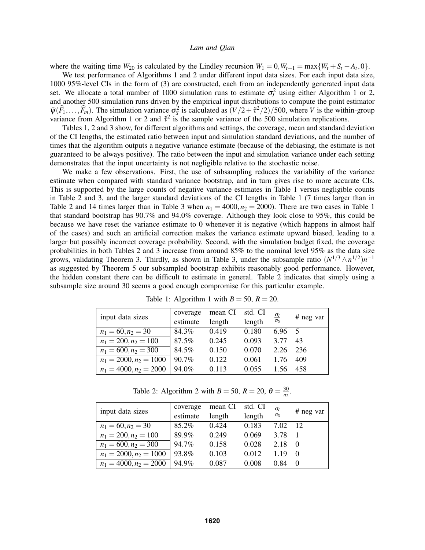where the waiting time  $W_{20}$  is calculated by the Lindley recursion  $W_1 = 0$ ,  $W_{t+1} = \max\{W_t + S_t - A_t, 0\}$ .

We test performance of Algorithms 1 and 2 under different input data sizes. For each input data size, 1000 95%-level CIs in the form of (3) are constructed, each from an independently generated input data set. We allocate a total number of 1000 simulation runs to estimate  $\sigma_f^2$  using either Algorithm 1 or 2, and another 500 simulation runs driven by the empirical input distributions to compute the point estimator  $\bar{\psi}(\widehat{F}_1,\ldots,\widehat{F}_m)$ . The simulation variance  $\sigma_S^2$  is calculated as  $(V/2+\tilde{\tau}^2/2)/500$ , where *V* is the within-group variance from Algorithm 1 or 2 and  $\tilde{\tau}^2$  is the sample variance of the 500 simulation replications.

Tables 1, 2 and 3 show, for different algorithms and settings, the coverage, mean and standard deviation of the CI lengths, the estimated ratio between input and simulation standard deviations, and the number of times that the algorithm outputs a negative variance estimate (because of the debiasing, the estimate is not guaranteed to be always positive). The ratio between the input and simulation variance under each setting demonstrates that the input uncertainty is not negligible relative to the stochastic noise.

We make a few observations. First, the use of subsampling reduces the variability of the variance estimate when compared with standard variance bootstrap, and in turn gives rise to more accurate CIs. This is supported by the large counts of negative variance estimates in Table 1 versus negligible counts in Table 2 and 3, and the larger standard deviations of the CI lengths in Table 1 (7 times larger than in Table 2 and 14 times larger than in Table 3 when  $n_1 = 4000$ ,  $n_2 = 2000$ ). There are two cases in Table 1 that standard bootstrap has 90.7% and 94.0% coverage. Although they look close to 95%, this could be because we have reset the variance estimate to 0 whenever it is negative (which happens in almost half of the cases) and such an artificial correction makes the variance estimate upward biased, leading to a larger but possibly incorrect coverage probability. Second, with the simulation budget fixed, the coverage probabilities in both Tables 2 and 3 increase from around 85% to the nominal level 95% as the data size grows, validating Theorem 3. Thirdly, as shown in Table 3, under the subsample ratio  $(N^{1/3} \wedge n^{1/2})n^{-1}$ as suggested by Theorem 5 our subsampled bootstrap exhibits reasonably good performance. However, the hidden constant there can be difficult to estimate in general. Table 2 indicates that simply using a subsample size around 30 seems a good enough compromise for this particular example.

| input data sizes         | coverage | mean CI | std. CI |                             | # neg var |
|--------------------------|----------|---------|---------|-----------------------------|-----------|
|                          | estimate | length  | length  | $\frac{\sigma_l}{\sigma_S}$ |           |
| $n_1 = 60, n_2 = 30$     | 84.3%    | 0.419   | 0.180   | $6.96\quad 5$               |           |
| $n_1 = 200, n_2 = 100$   | 87.5%    | 0.245   | 0.093   | 3.77                        | 43        |
| $n_1 = 600, n_2 = 300$   | 84.5%    | 0.150   | 0.070   | 2.26                        | 236       |
| $n_1 = 2000, n_2 = 1000$ | 90.7%    | 0.122   | 0.061   | 1.76                        | 409       |
| $n_1 = 4000, n_2 = 2000$ | 94.0%    | 0.113   | 0.055   | 1.56                        | 458       |

Table 1: Algorithm 1 with  $B = 50$ ,  $R = 20$ .

Table 2: Algorithm 2 with  $B = 50$ ,  $R = 20$ ,  $\theta = \frac{30}{n_2}$ .

| input data sizes         | coverage | mean CI | std. CI |                             |           |
|--------------------------|----------|---------|---------|-----------------------------|-----------|
|                          | estimate | length  | length  | $\frac{\sigma_I}{\sigma_S}$ | # neg var |
| $n_1 = 60, n_2 = 30$     | 85.2%    | 0.424   | 0.183   | 7.02                        | -12       |
| $n_1 = 200, n_2 = 100$   | 89.9%    | 0.249   | 0.069   | 3.78                        |           |
| $n_1 = 600, n_2 = 300$   | 94.7%    | 0.158   | 0.028   | 2.18                        | $\Omega$  |
| $n_1 = 2000, n_2 = 1000$ | 93.8%    | 0.103   | 0.012   | 1.19                        | $\Omega$  |
| $n_1 = 4000, n_2 = 2000$ | 94.9%    | 0.087   | 0.008   | 0.84                        |           |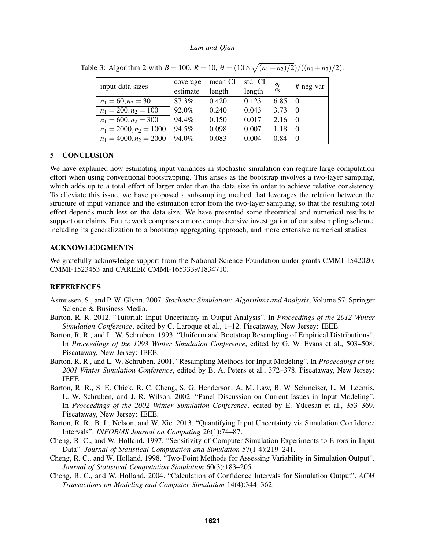| input data sizes         | coverage | mean CI | std. CI | $\frac{\sigma_I}{\sigma_S}$ | # neg var  |
|--------------------------|----------|---------|---------|-----------------------------|------------|
|                          | estimate | length  | length  |                             |            |
| $n_1 = 60, n_2 = 30$     | 87.3%    | 0.420   | 0.123   | $6.85 \quad 0$              |            |
| $n_1 = 200, n_2 = 100$   | 92.0%    | 0.240   | 0.043   | 3.73                        | $\Omega$   |
| $n_1 = 600, n_2 = 300$   | 94.4%    | 0.150   | 0.017   | 2.16                        | $\bigcirc$ |
| $n_1 = 2000, n_2 = 1000$ | 94.5%    | 0.098   | 0.007   | 1.18                        | $\Omega$   |
| $n_1 = 4000, n_2 = 2000$ | 94.0%    | 0.083   | 0.004   | 0.84                        | $\Omega$   |

Table 3: Algorithm 2 with  $B = 100$ ,  $R = 10$ ,  $\theta = (10 \wedge \sqrt{(n_1 + n_2)/2})/((n_1 + n_2)/2)$ .

# 5 CONCLUSION

We have explained how estimating input variances in stochastic simulation can require large computation effort when using conventional bootstrapping. This arises as the bootstrap involves a two-layer sampling, which adds up to a total effort of larger order than the data size in order to achieve relative consistency. To alleviate this issue, we have proposed a subsampling method that leverages the relation between the structure of input variance and the estimation error from the two-layer sampling, so that the resulting total effort depends much less on the data size. We have presented some theoretical and numerical results to support our claims. Future work comprises a more comprehensive investigation of our subsampling scheme, including its generalization to a bootstrap aggregating approach, and more extensive numerical studies.

## ACKNOWLEDGMENTS

We gratefully acknowledge support from the National Science Foundation under grants CMMI-1542020, CMMI-1523453 and CAREER CMMI-1653339/1834710.

# **REFERENCES**

- Asmussen, S., and P. W. Glynn. 2007. *Stochastic Simulation: Algorithms and Analysis*, Volume 57. Springer Science & Business Media.
- Barton, R. R. 2012. "Tutorial: Input Uncertainty in Output Analysis". In *Proceedings of the 2012 Winter Simulation Conference*, edited by C. Laroque et al., 1–12. Piscataway, New Jersey: IEEE.
- Barton, R. R., and L. W. Schruben. 1993. "Uniform and Bootstrap Resampling of Empirical Distributions". In *Proceedings of the 1993 Winter Simulation Conference*, edited by G. W. Evans et al., 503–508. Piscataway, New Jersey: IEEE.
- Barton, R. R., and L. W. Schruben. 2001. "Resampling Methods for Input Modeling". In *Proceedings of the 2001 Winter Simulation Conference*, edited by B. A. Peters et al., 372–378. Piscataway, New Jersey: IEEE.
- Barton, R. R., S. E. Chick, R. C. Cheng, S. G. Henderson, A. M. Law, B. W. Schmeiser, L. M. Leemis, L. W. Schruben, and J. R. Wilson. 2002. "Panel Discussion on Current Issues in Input Modeling". In *Proceedings of the 2002 Winter Simulation Conference*, edited by E. Yücesan et al., 353–369. Piscataway, New Jersey: IEEE.
- Barton, R. R., B. L. Nelson, and W. Xie. 2013. "Quantifying Input Uncertainty via Simulation Confidence Intervals". *INFORMS Journal on Computing* 26(1):74–87.
- Cheng, R. C., and W. Holland. 1997. "Sensitivity of Computer Simulation Experiments to Errors in Input Data". *Journal of Statistical Computation and Simulation* 57(1-4):219–241.
- Cheng, R. C., and W. Holland. 1998. "Two-Point Methods for Assessing Variability in Simulation Output". *Journal of Statistical Computation Simulation* 60(3):183–205.
- Cheng, R. C., and W. Holland. 2004. "Calculation of Confidence Intervals for Simulation Output". *ACM Transactions on Modeling and Computer Simulation* 14(4):344–362.